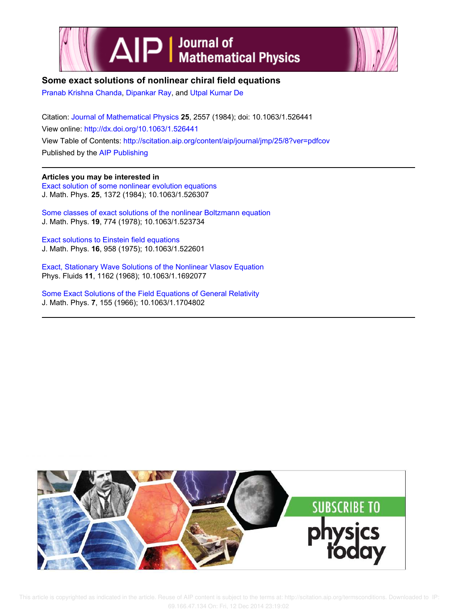



# **Some exact solutions of nonlinear chiral field equations**

Pranab Krishna Chanda, Dipankar Ray, and Utpal Kumar De

Citation: Journal of Mathematical Physics **25**, 2557 (1984); doi: 10.1063/1.526441 View online: http://dx.doi.org/10.1063/1.526441 View Table of Contents: http://scitation.aip.org/content/aip/journal/jmp/25/8?ver=pdfcov Published by the AIP Publishing

# **Articles you may be interested in**

Exact solution of some nonlinear evolution equations J. Math. Phys. **25**, 1372 (1984); 10.1063/1.526307

Some classes of exact solutions of the nonlinear Boltzmann equation J. Math. Phys. **19**, 774 (1978); 10.1063/1.523734

Exact solutions to Einstein field equations J. Math. Phys. **16**, 958 (1975); 10.1063/1.522601

Exact, Stationary Wave Solutions of the Nonlinear Vlasov Equation Phys. Fluids **11**, 1162 (1968); 10.1063/1.1692077

Some Exact Solutions of the Field Equations of General Relativity J. Math. Phys. **7**, 155 (1966); 10.1063/1.1704802

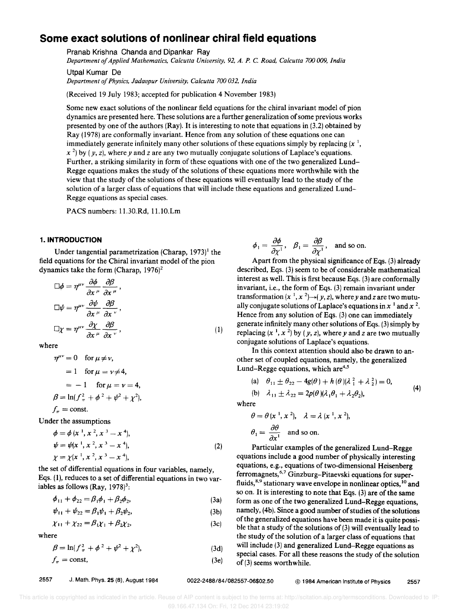# **Some exact solutions of nonlinear chiral field equations**

Pranab Krishna Chanda and Dipankar Ray

*Department of Applied Mathematics, Calcutta University,* 92, *A. P.* C. *Road, Calcutta 700 009, India*  Utpal Kumar De

*Department of Physics, Jadavpur University, Calcutta 700 032, India* 

(Received 19 July 1983; accepted for publication 4 November 1983)

Some new exact solutions of the nonlinear field equations for the chiral invariant model of pion dynamics are presented here. These solutions are a further generalization of some previous works presented by one of the authors (Ray). It is interesting to note that equations in (3.2) obtained by Ray (1978) are conformally invariant. Hence from any solution of these equations one can immediately generate infinitely many other solutions of these equations simply by replacing  $(x^1)$ ,  $x^{2}$  by (*y, z*), where *y* and *z* are any two mutually conjugate solutions of Laplace's equations. Further, a striking similarity in form of these equations with one of the two generalized Lund-Regge equations makes the study of the solutions of these equations more worthwhile with the view that the study of the solutions of these equations will eventually lead to the study of the solution of a larger class of equations that will include these equations and generalized Lund-Regge equations as special cases.

PACS numbers: 1l.30.Rd, 1l.10.Lm

#### **1. INTRODUCTION**

Under tangential parametrization (Charap,  $1973$ )<sup>1</sup> the field equations for the Chiral invariant model of the pion dynamics take the form (Charap,  $1976$ )<sup>2</sup>

$$
\Box \phi = \eta^{\mu\nu} \frac{\partial \phi}{\partial x^{\mu}} \frac{\partial \beta}{\partial x^{\mu}},
$$
  

$$
\Box \psi = \eta^{\mu\nu} \frac{\partial \psi}{\partial x^{\mu}} \frac{\partial \beta}{\partial x^{\nu}},
$$
  

$$
\Box \chi = \eta^{\mu\nu} \frac{\partial \chi}{\partial x^{\mu}} \frac{\partial \beta}{\partial x^{\nu}},
$$
 (1)

where

$$
\eta^{\mu\nu} = 0 \quad \text{for } \mu \neq \nu,
$$
  
= 1 \quad \text{for } \mu = \nu \neq 4,  
= -1 \quad \text{for } \mu = \nu = 4,  

$$
\beta = \ln(f_{\pi}^2 + \phi^2 + \psi^2 + \chi^2),
$$

$$
f_{\pi} = \text{const.}
$$

Under the assumptions

$$
\phi = \phi(x^1, x^2, x^3 - x^4), \n\psi = \psi(x^1, x^2, x^3 - x^4), \n\chi = \chi(x^1, x^2, x^3 - x^4),
$$
\n(2)

the set of differential equations in four variables, namely, Eqs. (1), reduces to a set of differential equations in two variables as follows (Ray,  $1978$ <sup>3</sup>:

$$
\phi_{11} + \phi_{22} = \beta_1 \phi_1 + \beta_2 \phi_2, \tag{3a}
$$

$$
\psi_{11} + \psi_{22} = \beta_1 \psi_1 + \beta_2 \psi_2, \tag{3b}
$$

$$
\chi_{11} + \chi_{22} = \beta_1 \chi_1 + \beta_2 \chi_2, \tag{3c}
$$

where

$$
\beta = \ln(f_{\pi}^2 + \phi^2 + \psi^2 + \chi^2), \tag{3d}
$$

$$
f_{\pi} = \text{const},\tag{3e}
$$

$$
\phi_1 = \frac{\partial \phi}{\partial \chi^1}
$$
,  $\beta_1 = \frac{\partial \beta}{\partial \chi^1}$ , and so on.

Apart from the physical significance of Eqs. (3) already described, Eqs. (3) seem to be of considerable mathematical interest as well. This is first because Eqs. (3) are conformally invariant, i.e., the form of Eqs. (3) remain invariant under transformation  $(x^{-1}, x^{-2}) \rightarrow (y, z)$ , where *y* and *z* are two mutually conjugate solutions of Laplace's equations in  $x<sup>1</sup>$  and  $x<sup>2</sup>$ . Hence from any solution of Eqs. (3) one can immediately generate infinitely many other solutions of Eqs. (3) simply by replacing  $(x^1, x^2)$  by  $(y, z)$ , where y and z are two mutually conjugate solutions of Laplace's equations.

In this context attention should also be drawn to another set of coupled equations, namely, the generalized Lund-Regge equations, which are<sup>4,5</sup>

(a) 
$$
\theta_{11} \pm \theta_{22} - 4g(\theta) + h(\theta)(\lambda_1^2 + \lambda_2^2) = 0,
$$
  
\n(b)  $\lambda_{11} \pm \lambda_{22} = 2p(\theta)(\lambda_1 \theta_1 + \lambda_2 \theta_2),$  (4)

where

$$
\theta = \theta \, (x^{-1}, x^{-2}), \quad \lambda = \lambda \, (x^{-1}, x^{-2}),
$$
  

$$
\theta_1 = \frac{\partial \theta}{\partial x^1} \quad \text{and so on.}
$$

Particular examples of the generalized Lund-Regge equations include a good number of physically interesting equations, e.g., equations of two-dimensional Heisenberg ferromagnets,6,7 Ginzburg-Pitaevski equations for superfluids,<sup>8,9</sup> stationary wave envelope in nonlinear optics,<sup>10</sup> and so on. It is interesting to note that Eqs. (3) are of the same form as one of the two generalized Lund-Regge equations, namely, (4b). Since a good number of studies of the solutions of the generalized equations have been made it is quite possible that a study of the solutions of(3) will eventually lead to the study of the solution of a larger class of equations that will include (3) and generalized Lund-Regge equations as special cases. For all these reasons the study of the solution of (3) seems worthwhile.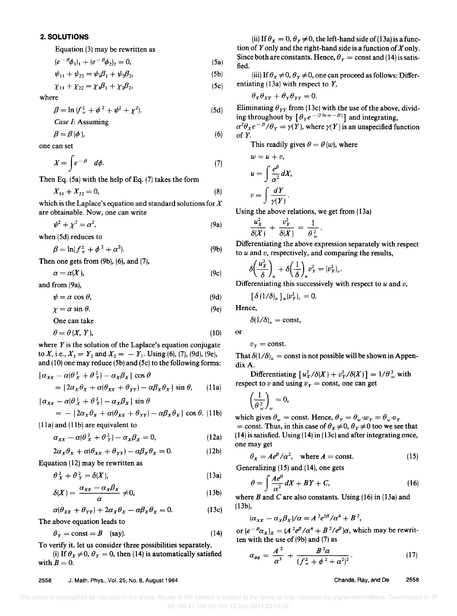## **2. SOLUTIONS**

Equation (3) may be rewritten as

$$
(e^{-\beta}\phi_1)_1 + (e^{-\beta}\phi_2)_2 = 0, \tag{5a}
$$

$$
\psi_{11} + \psi_{22} = \psi_1 \beta_1 + \psi_2 \beta_2, \tag{5b}
$$

$$
\chi_{11} + \chi_{22} = \chi_1 \beta_1 + \chi_2 \beta_2, \tag{5c}
$$

where

$$
\beta = \ln (f_{\pi}^2 + \phi^2 + \psi^2 + \chi^2). \tag{5d}
$$

*Case I:* Assuming

$$
\beta = \beta(\phi),\tag{6}
$$

one can set

$$
X = \int e^{-\beta} d\phi. \tag{7}
$$

Then Eq.  $(5a)$  with the help of Eq.  $(7)$  takes the form

$$
X_{11} + X_{22} = 0,\t\t(8)
$$

which is the Laplace's equation and standard solutions for  $X$ are obtainable. Now, one can write

$$
\psi^2 + \chi^2 = \alpha^2, \tag{9a}
$$

when (5d) reduces to

$$
\beta = \ln(f_{\pi}^2 + \phi^2 + \alpha^2). \tag{9b}
$$

Then one gets from (9b), (6), and (7),

$$
\alpha = \alpha(X),\tag{9c}
$$

and from (9a),

$$
\psi = \alpha \cos \theta, \tag{9d}
$$

$$
\chi = \alpha \sin \theta. \tag{9e}
$$

One can take

$$
\theta = \theta \left( X, Y \right), \tag{10}
$$

where *Y* is the solution of the Laplace's equation conjugate to X, i.e.,  $X_1 = Y_2$  and  $X_2 = -Y_1$ . Using (6), (7), (9d), (9e), and (10) one may reduce (5b) and (5c) to the following forms:

$$
\{\alpha_{XX} - \alpha(\theta_X^2 + \theta_Y^2) - \alpha_X \beta_X\} \cos \theta
$$
  
=  $\{\alpha_X \theta_X + \alpha(\theta_{XX} + \theta_{YY}) - \alpha \beta_X \theta_X\} \sin \theta$ , (11a)

$$
\{\alpha_{XX} - \alpha(\theta_X^2 + \theta_Y^2) - \alpha_X \beta_X\} \sin \theta
$$
  
= -\{2\alpha\_X \theta\_X + \alpha(\theta\_{XX} + \theta\_{YY}) - \alpha\beta\_X \theta\_X\} \cos \theta. (11b)

(11a) and (lIb) are equivalent to

$$
\alpha_{xx} - \alpha(\theta_x^2 + \theta_y^2) - \alpha_x \beta_x = 0, \qquad (12a)
$$

$$
2\alpha_X \theta_X + \alpha(\theta_{XX} + \theta_{YY}) - \alpha \beta_X \theta_X = 0. \tag{12b}
$$

Equation (12) may be rewritten as

$$
\theta_X^2 + \theta_Y^2 = \delta(X),\tag{13a}
$$

$$
\delta(X) = \frac{\alpha_{XX} - \alpha_X \beta_X}{\alpha} \neq 0, \tag{13b}
$$

$$
\alpha(\theta_{xx} + \theta_{yy}) + 2\alpha_x \theta_x - \alpha \beta_x \theta_x = 0. \qquad (13c)
$$

The above equation leads to

$$
\theta_Y = \text{const} = B \quad \text{(say)}.\tag{14}
$$

To verify it, let us consider three possibilities separately.

(i) If  $\theta_x \neq 0$ ,  $\theta_y = 0$ , then (14) is automatically satisfied with  $B = 0$ .

2558 J. Math. Phys., Vol. 25, No.8, August 1984

(ii) If  $\theta_x = 0$ ,  $\theta_y \neq 0$ , the left-hand side of (13a) is a function of Yonly and the right-hand side is a function of *X* only. Since both are constants. Hence,  $\theta_Y = \text{const}$  and (14) is satisfied.

(iii) If  $\theta_x \neq 0$ ,  $\theta_y \neq 0$ , one can proceed as follows: Differentiating (13a) with respect to *Y,* 

$$
\theta_X \theta_{XY} + \theta_Y \theta_{YY} = 0.
$$

Eliminating  $\theta_{YY}$  from (13c) with the use of the above, dividing throughout by  $\left[\theta_Y e^{-(2 \ln \alpha - \beta)}\right]$  and integrating,

$$
\alpha^2 \theta_X e^{-\beta} / \theta_Y = \gamma(Y)
$$
, where  $\gamma(Y)$  is an unspecified function of Y.

This readily gives  $\theta = \theta(w)$ , where

$$
w = u + v,
$$
  
\n
$$
u = \int \frac{e^{\beta}}{\alpha^2} dX,
$$
  
\n
$$
v = \int \frac{dY}{\gamma(Y)}.
$$

Using the above relations, we get from (13a)  

$$
\frac{u_X^2}{\delta(X)} + \frac{v_Y^2}{\delta(X)} = \frac{1}{\theta_w^2}.
$$

Differentiating the above expression separately with respect to *u* and *v,* respectively, and comparing the results,

$$
\delta\left(\frac{u_X^2}{\delta}\right)_u + \delta\left(\frac{1}{\delta}\right)_u v_Y^2 = (v_Y^2)_v.
$$

Differentiating this successively with respect to *u* and *v,* 

$$
\left[\delta\left(1/\delta\right)_u\right]_u(v_Y^2)_v=0.
$$

Hence,

or

 $\delta (1/\delta)_u = \text{const},$ 

$$
v_Y = \text{const.}
$$

That  $\delta(1/\delta)_u = \text{const}$  is not possible will be shown in AppendixA.

Differentiating  $[u_X^2/\delta(X) + v_Y^2/\delta(X)] = 1/\theta_w^2$  with respect to *v* and using  $v_Y = \text{const}$ , one can get

$$
\left(\frac{1}{\theta_w^2}\right)_w = 0,
$$

which gives  $\theta_w = \text{const.}$  Hence,  $\theta_Y = \theta_w \cdot w_Y = \theta_w \cdot v_Y$ = const. Thus, in this case of  $\theta_x \neq 0$ ,  $\theta_y \neq 0$  too we see that  $(14)$  is satisfied. Using  $(14)$  in  $(13c)$  and after integrating once, one may get

$$
\theta_X = Ae^{\beta}/\alpha^2, \quad \text{where } A = \text{const.}
$$
 (15)

Generalizing (15) and (14), one gets

$$
\theta = \int \frac{A e^{\beta}}{\alpha^2} dX + BY + C, \tag{16}
$$

where B and C are also constants. Using  $(16)$  in  $(13a)$  and (13b),

$$
(\alpha_{XX}-\alpha_X\beta_X)/\alpha=A^2e^{2\beta}/\alpha^4+B^2,
$$

or  $(e^{-\beta}a_x)_x = (A^2e^{\beta}/\alpha^4 + B^2/e^{\beta})\alpha$ , which may be rewritten with the use of (9b) and (7) as

$$
\alpha_{\phi\phi} = \frac{A^2}{\alpha^3} + \frac{B^2 \alpha}{(f_{\pi}^2 + \phi^2 + \alpha^2)^2}.
$$
 (17)

## Chanda, Ray, and De 2558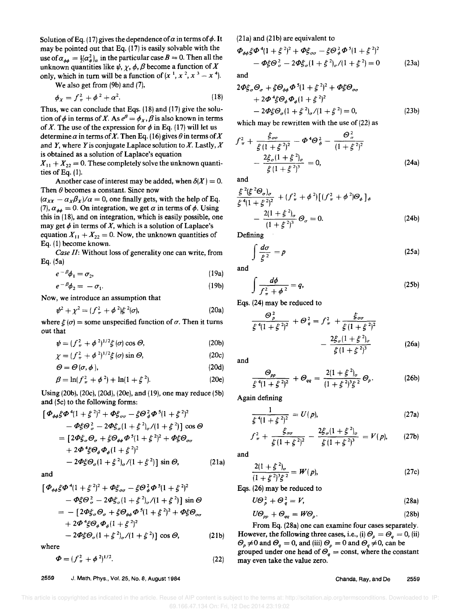Solution of Eq. (17) gives the dependence of  $\alpha$  in terms of  $\phi$ . It may be pointed out that Eq. (17) is easily solvable with the use of  $\alpha_{ab} = \frac{1}{2} (\alpha_a^2)_a$  in the particular case  $B = 0$ . Then all the unknown quantities like  $\psi$ ,  $\gamma$ ,  $\phi$ ,  $\beta$  become a function of X only, which in turn will be a function of  $(x^1, x^2, x^3 - x^4)$ .

We also get from (9b) and (7),

$$
\phi_X = f_\pi^2 + \phi^2 + \alpha^2. \tag{1}
$$

Thus, we can conclude that Eqs. (18) and (17) give the solution of  $\phi$  in terms of *X*. As  $e^{\beta} = \phi_X$ ,  $\beta$  is also known in terms of *X*. The use of the expression for  $\phi$  in Eq. (17) will let us determine  $\alpha$  in terms of *X*. Then Eq. (16) gives  $\theta$  in terms of *X* and Y, where Y is conjugate Laplace solution to *X.* Lastly, X is obtained as a solution of Laplace's equation

 $X_{11} + X_{22} = 0$ . These completely solve the unknown quantities of Eq. (1).

Another case of interest may be added, when  $\delta(X) = 0$ . Then  $\theta$  becomes a constant. Since now

 $(\alpha_{xx} - \alpha_x \beta_x)/\alpha = 0$ , one finally gets, with the help of Eq. (7),  $\alpha_{\phi\phi} = 0$ . On integration, we get  $\alpha$  in terms of  $\phi$ . Using this in (18), and on integration, which is easily possible, one may get  $\phi$  in terms of X, which is a solution of Laplace's equation  $X_{11} + X_{22} = 0$ . Now, the unknown quantities of Eq. (I) become known.

*Case II:* Without loss of generality one can write, from Eq. (Sa)

$$
e^{-\beta}\phi_1 = \sigma_2, \tag{19a}
$$

$$
e^{-\beta}\phi_2 = -\sigma_1. \tag{19b}
$$

Now, we introduce an assumption that

$$
\psi^2 + \chi^2 = (f_{\pi}^2 + \phi^2) \xi^2(\sigma), \tag{20a}
$$

where  $\xi(\sigma)$  = some unspecified function of  $\sigma$ . Then it turns out that

$$
\psi = (f_{\pi}^2 + \phi^2)^{1/2} \xi(\sigma) \cos \Theta, \qquad (20b)
$$

$$
\chi = (f_{\pi}^2 + \phi^2)^{1/2} \xi(\sigma) \sin \Theta, \qquad (20c)
$$

$$
\Theta = \Theta(\sigma, \phi), \tag{20d}
$$

$$
\beta = \ln(f_{\pi}^2 + \phi^2) + \ln(1 + \xi^2). \tag{20e}
$$

Using (20b), (20c), (2Od), (20e), and (19), one may reduce (Sb) and (Sc) to the following forms:

$$
\begin{aligned}\n\left[\Phi_{\phi\phi}\xi\Phi^{4}(1+\xi^{2})^{2}+\Phi\xi_{\sigma\sigma}-\xi\Theta_{\phi}^{2}\Phi^{5}(1+\xi^{2})^{2}\right.\\
&\quad-\Phi\xi\Theta_{\sigma}^{2}-2\Phi\xi_{\sigma}(1+\xi^{2})_{\sigma}/(1+\xi^{2})\right]\cos\Theta\\
&=[2\Phi\xi_{\sigma}\Theta_{\sigma}+\xi\Theta_{\phi\phi}\Phi^{5}(1+\xi^{2})^{2}+\Phi\xi\Theta_{\sigma\sigma}\\
&\quad+2\Phi^{4}\xi\Theta_{\phi}\Phi_{\phi}(1+\xi^{2})^{2}\\
&-2\Phi\xi\Theta_{\sigma}(1+\xi^{2})_{\sigma}/(1+\xi^{2})\right]\sin\Theta,\n\end{aligned} \tag{21a}
$$

and

$$
\begin{aligned}\n\left[\Phi_{\phi\phi}\xi\Phi^{4}(1+\xi^{2})^{2}+\Phi\xi_{\sigma\sigma}-\xi\Theta_{\phi}^{2}\Phi^{5}(1+\xi^{2})^{2}\right] &- \Phi\xi\Theta_{\sigma}^{2}-2\Phi\xi_{\sigma}(1+\xi^{2})_{\sigma}/(1+\xi^{2})\right]\sin\Theta \\
&= -\left[2\Phi\xi_{\sigma}\Theta_{\sigma}+\xi\Theta_{\phi\phi}\Phi^{5}(1+\xi^{2})^{2}+\Phi\xi\Theta_{\sigma\sigma} +2\Phi^{4}\xi\Theta_{\phi}\Phi_{\phi}(1+\xi^{2})^{2}\right. \\
&\left.-2\Phi\xi\Theta_{\phi}(1+\xi^{2})_{\sigma}/(1+\xi^{2})\right]\cos\Theta,\n\end{aligned}
$$
\n(21b)

where

$$
\Phi = (f_{\pi}^2 + \phi^2)^{1/2}.
$$
 (22)

(2Ia) and (2Ib) are equivalent to

$$
\Phi_{\phi\phi}\xi\Phi^4(1+\xi^2)^2 + \Phi\xi_{\sigma\sigma} - \xi\Theta^2_{\phi}\Phi^5(1+\xi^2)^2
$$
  
 
$$
- \Phi\xi\Theta^2_{\sigma} - 2\Phi\xi_{\sigma}(1+\xi^2)_{\sigma}/(1+\xi^2) = 0
$$
 (23a)

and

(18)

$$
2\Phi \xi_{\sigma} \Theta_{\sigma} + \xi \Theta_{\phi\phi} \Phi^{5} (1 + \xi^{2})^{2} + \Phi \xi \Theta_{\sigma\sigma}
$$
  
+ 2\Phi^{4} \xi \Theta\_{\phi} \Phi\_{\phi} (1 + \xi^{2})^{2}  
- 2\Phi \xi \Theta\_{\sigma} (1 + \xi^{2})\_{\sigma}/(1 + \xi^{2}) = 0, \qquad (23b)

which may be rewritten with the use of  $(22)$  as

$$
f_{\pi}^{2} + \frac{\xi_{\sigma\sigma}}{\xi(1+\xi^{2})^{2}} - \Phi^{4}\Theta_{\phi}^{2} - \frac{\Theta_{\sigma}^{2}}{(1+\xi^{2})^{2}}
$$

$$
-\frac{2\xi_{\sigma}(1+\xi^{2})_{\sigma}}{\xi(1+\xi^{2})^{3}} = 0, \qquad (24a)
$$

and

$$
\frac{\xi^{2}(\xi^{2}\Theta_{\sigma})_{\sigma}}{\xi^{4}(1+\xi^{2})^{2}} + (f_{\pi}^{2}+\phi^{2})[(f_{\pi}^{2}+\phi^{2})\Theta_{\phi}]_{\phi}
$$

$$
-\frac{2(1+\xi^{2})_{\sigma}}{(1+\xi^{2})^{3}}\Theta_{\sigma} = 0. \qquad (24b)
$$

Defining

$$
\int \frac{d\sigma}{\xi^2} = p \tag{25a}
$$

and

$$
\int \frac{d\phi}{f_{\pi}^2 + \phi^2} = q,
$$
\n(25b)

Eqs. (24) may be reduced to

$$
\frac{\Theta_p^2}{\xi^4 (1+\xi^2)^2} + \Theta_q^2 = f_\pi^2 + \frac{\xi_{\sigma\sigma}}{\xi (1+\xi^2)^2} - \frac{2\xi_\sigma (1+\xi^2)_\sigma}{\xi (1+\xi^2)^3}
$$
(26a)

and

$$
\frac{\Theta_{pp}}{\xi^4(1+\xi^2)^2} + \Theta_{qq} = \frac{2(1+\xi^2)_{\sigma}}{(1+\xi^2)^3\xi^2} \Theta_p.
$$
 (26b)

Again defining

$$
\frac{1}{\xi^4(1+\xi^2)^2} = U(p),\tag{27a}
$$

$$
f_{\pi}^2 + \frac{\xi_{\sigma\sigma}}{\xi(1+\xi^2)^2} - \frac{2\xi_{\sigma}(1+\xi^2)_{\sigma}}{\xi(1+\xi^2)^3} = V(p), \qquad (27b)
$$

and

$$
\frac{2(1+\xi^2)_{\sigma}}{(1+\xi^2)^3\xi^2} = W(p),\tag{27c}
$$

Eqs. (26) may be reduced to

$$
U\mathcal{O}_p^2 + \mathcal{O}_q^2 = V,\tag{28a}
$$

$$
U\mathcal{O}_{pp} + \mathcal{O}_{qq} = W\mathcal{O}_p. \tag{28b}
$$

From Eq. (28a) one can examine four cases separately. However, the following three cases, i.e., (i)  $\mathcal{O}_p = \mathcal{O}_q = 0$ , (ii)  $\mathcal{O}_p \neq 0$  and  $\mathcal{O}_q = 0$ , and (iii)  $\mathcal{O}_p = 0$  and  $\mathcal{O}_q \neq 0$ , can be grouped under one head of  $\Theta_q = \text{const}$ , where the constant may even take the value zero.

#### 2559 J. Math. Phys., Vol. 25, No.8, August 1984

## Chanda, Ray, and De 2559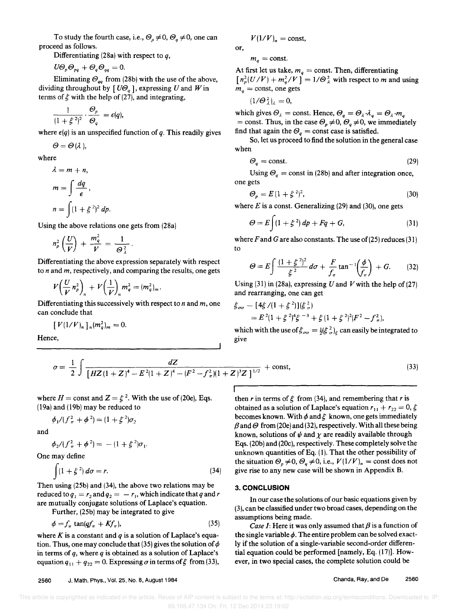Differentiating (28a) with respect to  $q$ ,

 $U\Theta_p\Theta_{pq} + \Theta_q\Theta_{qq} = 0.$ 

Eliminating  $\mathcal{O}_{q}$  from (28b) with the use of the above, dividing throughout by  $[U\mathcal{O}_q]$ , expressing U and W in terms of  $\xi$  with the help of (27), and integrating,

$$
\frac{1}{(1+\xi^2)^2}\cdot \frac{\mathcal{O}_p}{\mathcal{O}_q} = \epsilon(q),
$$

where  $\epsilon(q)$  is an unspecified function of q. This readily gives

 $\Theta = \Theta(\lambda),$ 

where

$$
\lambda = m + n,
$$
  
\n
$$
m = \int \frac{dq}{\epsilon},
$$
  
\n
$$
n = \int (1 + \xi^2)^2 dp.
$$

Using the above relations one gets from (28a)

$$
n_p^2\left(\frac{U}{V}\right) + \frac{m_q^2}{V} = \frac{1}{\Theta_\lambda^2}.
$$

Differentiating the above expression separately with respect to nand *m,* respectively, and comparing the results, one gets

$$
V\left(\frac{U}{V}n_p^2\right)_n+V\left(\frac{1}{V}\right)_n m_q^2=(m_q^2)_m.
$$

Differentiating this successively with respect to nand *m,* one can conclude that

$$
[V(1/V)_n]_n(m_q^2)_m=0.
$$

Hence,

$$
V(1/V)_n = \text{const},
$$

or,  $m_q = \text{const.}$ 

At first let us take,  $m_q = \text{const.}$  Then, differentiating  $[n_p^2(U/V) + m_q^2/V] = 1/\Theta_\lambda^2$  with respect to *m* and using  $m_a = \text{const}$ , one gets

$$
(1/\Theta_\lambda^2)_\lambda=0,
$$

which gives  $\Theta_{\lambda} = \text{const.}$  Hence,  $\Theta_{q} = \Theta_{\lambda} \cdot \lambda_{q} = \Theta_{\lambda} \cdot m_{q}$ = const. Thus, in the case  $\mathcal{O}_p \neq 0$ ,  $\mathcal{O}_q \neq 0$ , we immediately find that again the  $\mathcal{O}_q$  = const case is satisfied.

So, let us proceed to find the solution in the general case when

$$
\Theta_q = \text{const.} \tag{29}
$$

Using  $\mathcal{O}_q$  = const in (28b) and after integration once, one gets

$$
\mathcal{O}_p = E\left(1 + \xi^2\right)^2,\tag{30}
$$

where  $E$  is a const. Generalizing (29) and (30), one gets

$$
\Theta = E \int (1 + \xi^2) dp + Fq + G, \qquad (31)
$$

where  $F$  and  $G$  are also constants. The use of (25) reduces (31) to

$$
\Theta = E \int \frac{(1+\xi^2)^2}{\xi^2} \, d\sigma + \frac{F}{f_\pi} \tan^{-1} \left(\frac{\phi}{f_\pi}\right) + G. \tag{32}
$$

Using (31) in (28a), expressing *U* and *V* with the help of (27) and rearranging, one can get

$$
\begin{aligned} \xi_{\sigma\sigma} &= [4\xi/(1+\xi^2)](\xi_{\sigma}^2) \\ &= E^2(1+\xi^2)^4\xi^{-3} + \xi(1+\xi^2)^2(F^2 - f_{\pi}^2), \end{aligned}
$$

which with the use of  $\xi_{\sigma\sigma} = \frac{1}{2}(\xi^2_{\sigma})_{\xi}$  can easily be integrated to give

$$
\sigma = \frac{1}{2} \int \frac{dZ}{\left[ HZ(1+Z)^4 - E^2(1+Z)^4 - (F^2 - f_\pi^2)(1+Z)^3 Z \right]^{1/2}} + \text{const},\tag{33}
$$

where  $H = \text{const}$  and  $Z = \xi^2$ . With the use of (20e), Eqs. (19a) and (19b) may be reduced to

$$
\phi_1/(f_{\pi}^2+\phi^2)=(1+\xi^2)\sigma_2
$$

and

$$
\phi_2/(f_\pi^2 + \phi^2) = -(1 + \xi^2)\sigma_1.
$$

One may define

$$
\int (1+\xi^2) d\sigma = r. \tag{34}
$$

Then using (2Sb) and (34), the above two relations may be reduced to  $q_1 = r_2$  and  $q_2 = -r_1$ , which indicate that *q* and *r* are mutually conjugate solutions of Laplace's equation.

Further, (25b) may be integrated to give

$$
\phi = f_{\pi} \tan(qf_{\pi} + Kf_{\pi}), \qquad (35)
$$

where  $K$  is a constant and  $q$  is a solution of Laplace's equation. Thus, one may conclude that (35) gives the solution of  $\phi$ in terms of *q,* where *q* is obtained as a solution of Laplace's equation  $q_{11} + q_{22} = 0$ . Expressing  $\sigma$  in terms of  $\xi$  from (33),

then r in terms of  $\xi$  from (34), and remembering that r is obtained as a solution of Laplace's equation  $r_{11} + r_{22} = 0, \xi$ becomes known. With  $\phi$  and  $\xi$  known, one gets immediately  $\beta$  and  $\Theta$  from (20e) and (32), respectively. With all these being known, solutions of  $\psi$  and  $\chi$  are readily available through Eqs. (20b) and (20c), respectively. These completely solve the unknown quantities of Eq. (1). That the other possibility of the situation  $\mathcal{O}_p \neq 0$ ,  $\mathcal{O}_q \neq 0$ , i.e.,  $V(1/V)_n = \text{const does not}$ give rise to any new case will be shown in Appendix B.

#### **3. CONCLUSION**

**In** our case the solutions of our basic equations given by (3), can be classified under two broad cases, depending on the assumptions being made.

*Case I:* Here it was only assumed that  $\beta$  is a function of the single variable  $\phi$ . The entire problem can be solved exactly if the solution of a single-variable second-order differential equation could be performed [namely, Eq. (17)]. However, in two special cases, the complete solution could be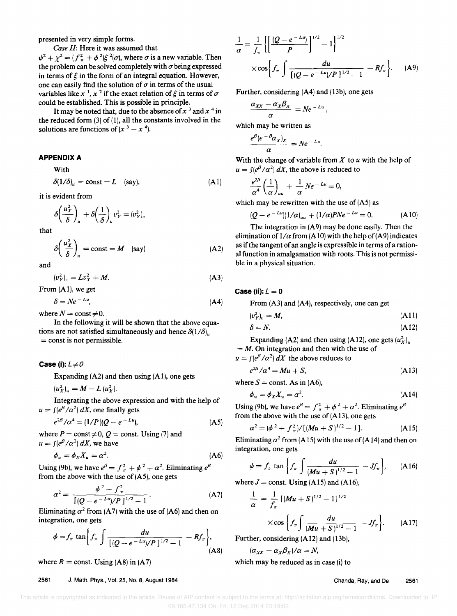presented in very simple forms.

*Case II:* Here it was assumed that  $\psi^2 + \chi^2 = (f_\pi^2 + \phi^2) \xi^2(\sigma)$ , where  $\sigma$  is a new variable. Then the problem can be solved completely with  $\sigma$  being expressed in terms of  $\xi$  in the form of an integral equation. However, one can easily find the solution of  $\sigma$  in terms of the usual variables like x<sup>1</sup>, x<sup>2</sup> if the exact relation of  $\xi$  in terms of  $\sigma$ could be established. This is possible in principle.

It may be noted that, due to the absence of  $x^3$  and  $x^4$  in the reduced form  $(3)$  of  $(1)$ , all the constants involved in the solutions are functions of  $(x^3 - x^4)$ .

#### APPENDIX A

With

$$
\delta(1/\delta)_u = \text{const} = L \quad \text{(say)}, \tag{A1}
$$

it is evident from

$$
\delta\left(\frac{u_X^2}{\delta}\right)_u + \delta\left(\frac{1}{\delta}\right)_u v_Y^2 = (v_Y^2)_v
$$

that

$$
\delta \left( \frac{u_x^2}{\delta} \right)_u = \text{const} = M \quad \text{(say)} \tag{A2}
$$

and

$$
(v_Y^2)_v = Lv_Y^2 + M.
$$
 (A3)

From (AI), we get

$$
\delta = Ne^{-Lu},\tag{A4}
$$

where  $N = \text{const} \neq 0$ .

In the following it will be shown that the above equations are not satisfied simultaneously and hence  $\delta(1/\delta)$  $=$  const is not permissible.

#### **Case (i):**  $L \neq 0$

Expanding (A2) and then using (AI), one gets

 $(u_x^2)_{\mu} = M - L (u_x^2)$ .

Integrating the above expression and with the help of  $u = \int (e^{\beta}/\alpha^2) dX$ , one finally gets

$$
e^{2\beta}/\alpha^4 = (1/P)(Q - e^{-Lu}),
$$
 (A5)

where  $P = \text{const} \neq 0$ ,  $Q = \text{const}$ . Using (7) and  $u = \int (e^{\beta}/\alpha^2) dX$ , we have

$$
\phi_u = \phi_X X_u = \alpha^2. \tag{A6}
$$

Using (9b), we have  $e^{\beta} = f_{\pi}^2 + \phi^2 + \alpha^2$ . Eliminating  $e^{\beta}$ from the above with the use of (A5), one gets

$$
\alpha^2 = \frac{\phi^2 + f_\pi^2}{\left[ (Q - e^{-Lu})/P \right]^{1/2} - 1}.
$$
 (A7)

Eliminating  $\alpha^2$  from (A7) with the use of (A6) and then on integration, one gets

$$
\phi = f_{\pi} \tan \left\{ f_{\pi} \int \frac{du}{[(Q - e^{-Lu})/P]^{1/2} - 1} - Rf_{\pi} \right\},\tag{A8}
$$

where  $R =$  const. Using (A8) in (A7)

2561 J. Math. Phys., Vol. 25, No.8, August 1984

$$
\frac{1}{\alpha} = \frac{1}{f_{\pi}} \left\{ \left[ \frac{(Q - e^{-Lu})}{P} \right]^{1/2} - 1 \right\}^{1/2}
$$
  
 
$$
\times \cos \left\{ f_{\pi} \int \frac{du}{[(Q - e^{-Lu})/P]^{1/2} - 1} - Rf_{\pi} \right\}.
$$
 (A9)

Further, considering (A4) and (13b), one gets

$$
\frac{\alpha_{XX}-\alpha_X\beta_X}{\alpha}=Ne^{-Lu},
$$

which may be written as

$$
\frac{e^{\beta}(e^{-\beta}\alpha_X)_X}{\alpha}=Ne^{-Lu}.
$$

With the change of variable from *X* to *u* with the help of  $u = \int (e^{\beta}/\alpha^2) dX$ , the above is reduced to

$$
\frac{e^{2\beta}}{\alpha^4}\left(\frac{1}{\alpha}\right)_{uu}+\frac{1}{\alpha}Ne^{-Lu}=0,
$$

which may be rewritten with the use of  $(A5)$  as

$$
(Q - e^{-Lu})(1/\alpha)_{uu} + (1/\alpha)PNe^{-Lu} = 0.
$$
 (A10)

The integration in (A9) may be done easily. Then the elimination of  $1/\alpha$  from (A10) with the help of (A9) indicates as if the tangent of an angle is expressible in terms of a rational function in amalgamation with roots. This is not permissible in a physical situation.

## **Case (ii):**  $L = 0$

From (A3) and (A4), respectively, one can get

$$
(v_Y^2)_v = M,\tag{A11}
$$

$$
\delta = N. \tag{A12}
$$

Expanding (A2) and then using (A12), one gets  $(u_x^2)_{u_x}$  $=$  *M*. On integration and then with the use of  $u = \int (e^{\beta}/\alpha^2) dX$  the above reduces to

$$
e^{2\beta}/\alpha^4 = Mu + S,
$$

where  $S =$  const. As in (A6),

$$
\phi_u = \phi_X X_u = \alpha^2. \tag{A14}
$$

Using (9b), we have  $e^{\beta} = f_{\pi}^2 + \phi^2 + \alpha^2$ . Eliminating  $e^{\beta}$ from the above with the use of  $(A13)$ , one gets

$$
\alpha^2 = (\phi^2 + f_\pi^2) / [(Mu + S)^{1/2} - 1]. \tag{A15}
$$

Eliminating  $\alpha^2$  from (A15) with the use of (A14) and then on integration, one gets

$$
\phi = f_{\pi} \tan \left\{ f_{\pi} \int \frac{du}{(Mu + S)^{1/2} - 1} - Jf_{\pi} \right\}, \quad (A16)
$$

where  $J =$  const. Using (A15) and (A16),

$$
\frac{1}{\alpha} = \frac{1}{f_{\pi}} [(Mu + S)^{1/2} - 1]^{1/2}
$$
  
×cos  $\left\{ f_{\pi} \int \frac{du}{(Mu + S)^{1/2} - 1} - Jf_{\pi} \right\}$ . (A17)

Further, considering 
$$
(A12)
$$
 and  $(13b)$ ,

 $(\alpha_{XX} - \alpha_X \beta_X)/\alpha = N$ ,

which may be reduced as in case (i) to

(A13)